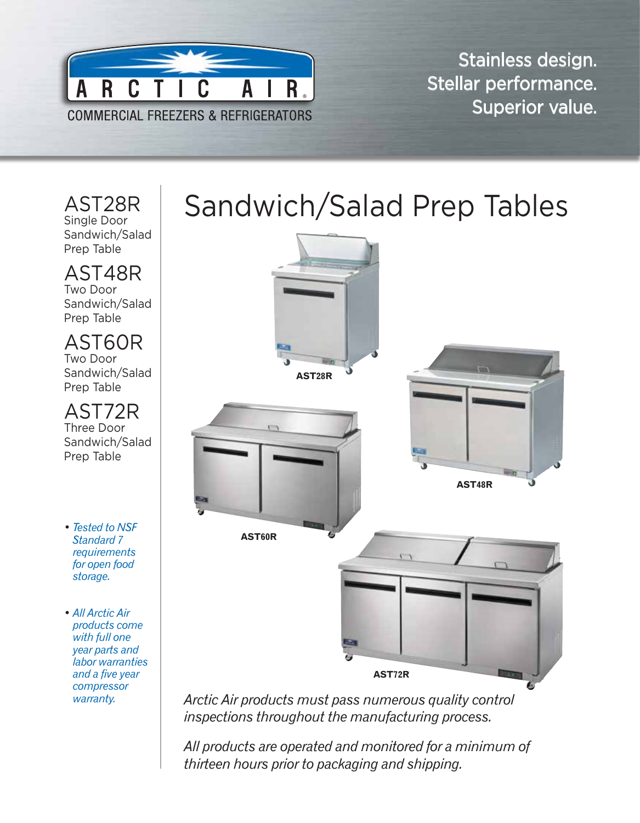

Stainless design. Stellar performance. Superior value.

## AST28R Single Door Sandwich/Salad Prep Table AST48R

Two Door Sandwich/Salad Prep Table

## AST60R

Two Door Sandwich/Salad Prep Table

AST72R Three Door Sandwich/Salad Prep Table

- *• Tested to NSF Standard 7 requirements for open food storage.*
- *• All Arctic Air products come with full one year parts and labor warranties and a five year compressor warranty.*

## Sandwich/Salad Prep Tables



*Arctic Air products must pass numerous quality control inspections throughout the manufacturing process.* 

*All products are operated and monitored for a minimum of thirteen hours prior to packaging and shipping.*